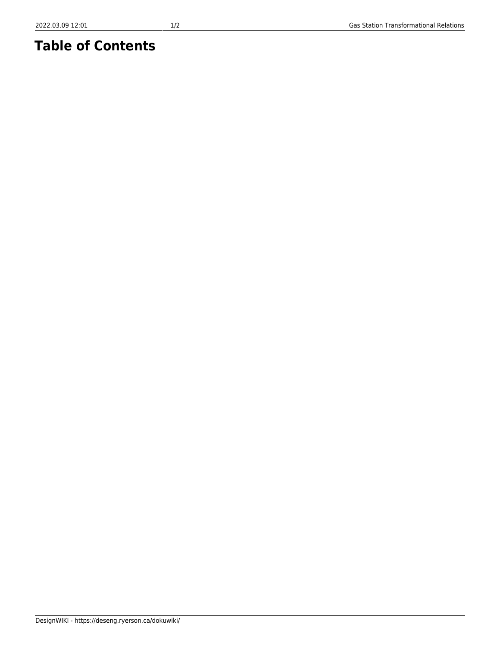## **Table of Contents**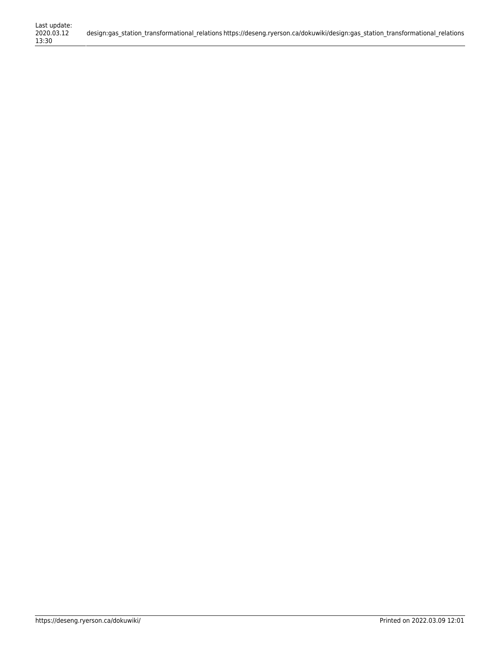| Last update: |                                                                                                                                |
|--------------|--------------------------------------------------------------------------------------------------------------------------------|
| 2020.03.12   | design:gas_station_transformational_relations https://deseng.ryerson.ca/dokuwiki/design:gas_station_transformational_relations |
| 13:30        |                                                                                                                                |